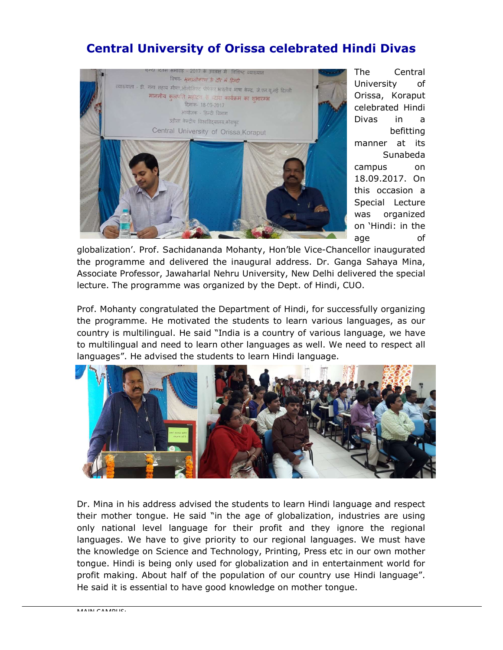## Central University of Orissa celebrated Hindi Divas



The Central University of Orissa, Koraput celebrated Hindi Divas in a befitting manner at its Sunabeda campus on 18.09.2017. On this occasion a Special Lecture was organized on 'Hindi: in the age of

globalization'. Prof. Sachidananda Mohanty, Hon'ble Vice-Chancellor inaugurated the programme and delivered the inaugural address. Dr. Ganga Sahaya Mina, Associate Professor, Jawaharlal Nehru University, New Delhi delivered the special lecture. The programme was organized by the Dept. of Hindi, CUO.

Prof. Mohanty congratulated the Department of Hindi, for successfully organizing the programme. He motivated the students to learn various languages, as our country is multilingual. He said "India is a country of various language, we have to multilingual and need to learn other languages as well. We need to respect all languages". He advised the students to learn Hindi language.



Dr. Mina in his address advised the students to learn Hindi language and respect their mother tongue. He said "in the age of globalization, industries are using only national level language for their profit and they ignore the regional languages. We have to give priority to our regional languages. We must have the knowledge on Science and Technology, Printing, Press etc in our own mother tongue. Hindi is being only used for globalization and in entertainment world for profit making. About half of the population of our country use Hindi language". He said it is essential to have good knowledge on mother tongue.